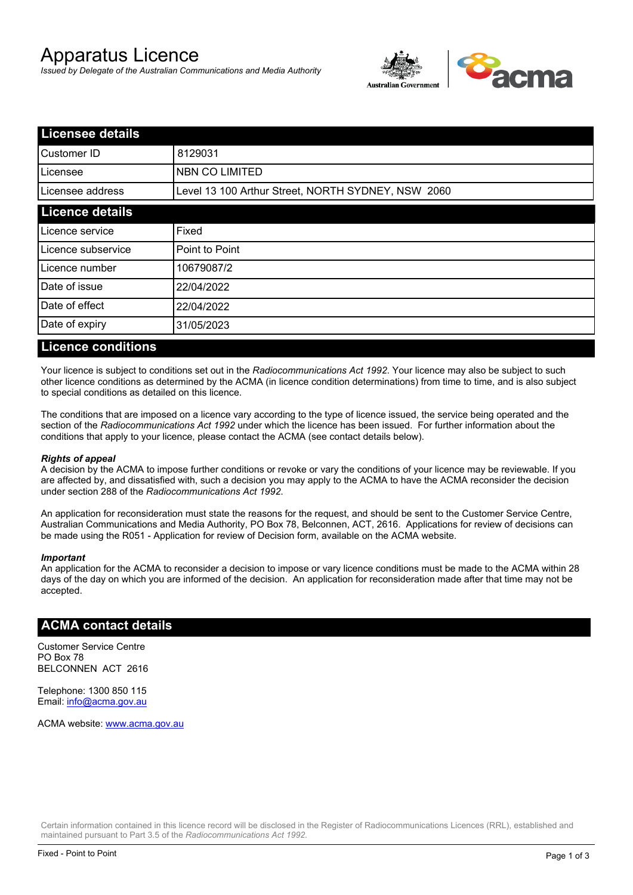# Apparatus Licence

*Issued by Delegate of the Australian Communications and Media Authority*



| <b>Licensee details</b> |                                                    |  |
|-------------------------|----------------------------------------------------|--|
| Customer ID             | 8129031                                            |  |
| ILicensee               | <b>NBN CO LIMITED</b>                              |  |
| Licensee address        | Level 13 100 Arthur Street, NORTH SYDNEY, NSW 2060 |  |
| <b>Licence details</b>  |                                                    |  |
| Licence service         | Fixed                                              |  |
| Licence subservice      | Point to Point                                     |  |
| Licence number          | 10679087/2                                         |  |
| Date of issue           | 22/04/2022                                         |  |
| Date of effect          | 22/04/2022                                         |  |
| Date of expiry          | 31/05/2023                                         |  |
|                         |                                                    |  |

#### **Licence conditions**

Your licence is subject to conditions set out in the *Radiocommunications Act 1992*. Your licence may also be subject to such other licence conditions as determined by the ACMA (in licence condition determinations) from time to time, and is also subject to special conditions as detailed on this licence.

The conditions that are imposed on a licence vary according to the type of licence issued, the service being operated and the section of the *Radiocommunications Act 1992* under which the licence has been issued. For further information about the conditions that apply to your licence, please contact the ACMA (see contact details below).

#### *Rights of appeal*

A decision by the ACMA to impose further conditions or revoke or vary the conditions of your licence may be reviewable. If you are affected by, and dissatisfied with, such a decision you may apply to the ACMA to have the ACMA reconsider the decision under section 288 of the *Radiocommunications Act 1992*.

An application for reconsideration must state the reasons for the request, and should be sent to the Customer Service Centre, Australian Communications and Media Authority, PO Box 78, Belconnen, ACT, 2616. Applications for review of decisions can be made using the R051 - Application for review of Decision form, available on the ACMA website.

#### *Important*

An application for the ACMA to reconsider a decision to impose or vary licence conditions must be made to the ACMA within 28 days of the day on which you are informed of the decision. An application for reconsideration made after that time may not be accepted.

#### **ACMA contact details**

Customer Service Centre PO Box 78 BELCONNEN ACT 2616

Telephone: 1300 850 115 Email: info@acma.gov.au

ACMA website: www.acma.gov.au

Certain information contained in this licence record will be disclosed in the Register of Radiocommunications Licences (RRL), established and maintained pursuant to Part 3.5 of the *Radiocommunications Act 1992.*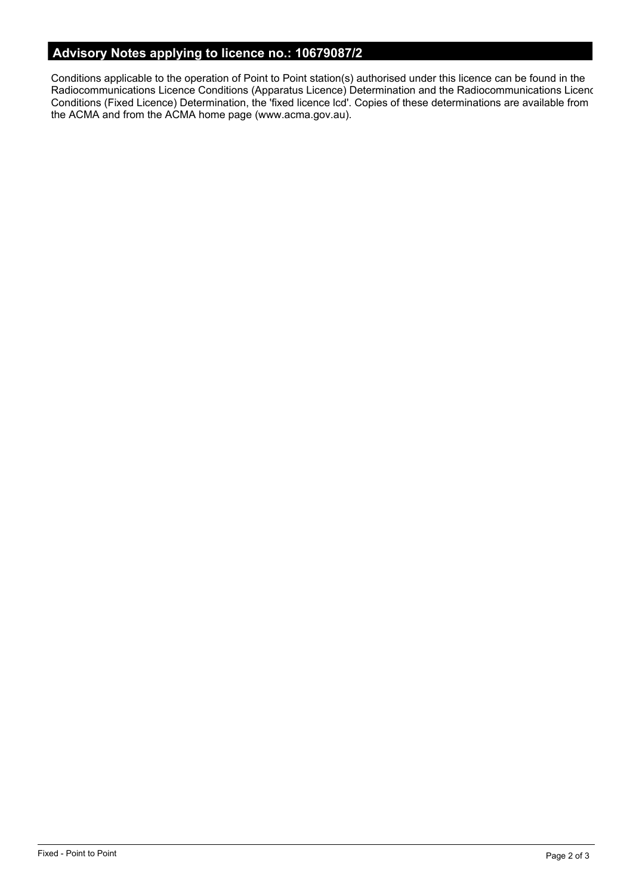# **Advisory Notes applying to licence no.: 10679087/2**

Conditions applicable to the operation of Point to Point station(s) authorised under this licence can be found in the Radiocommunications Licence Conditions (Apparatus Licence) Determination and the Radiocommunications Licence Conditions (Fixed Licence) Determination, the 'fixed licence lcd'. Copies of these determinations are available from the ACMA and from the ACMA home page (www.acma.gov.au).